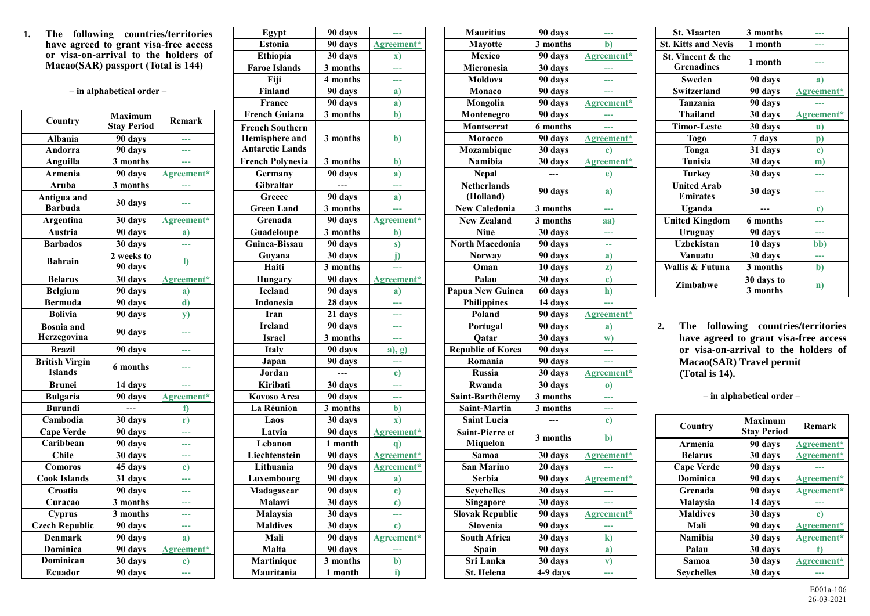**1. The following countries/territories have agreed to grant visa-free access or visa-on-arrival to the holders of Macao(SAR) passport (Total is 144)**

**– in alphabetical order –**

| Country                                 | Maximum<br><b>Stay Period</b> | Remark     |
|-----------------------------------------|-------------------------------|------------|
| Albania                                 | 90 days                       |            |
| Andorra                                 | 90 days                       | ---        |
| Anguilla                                | 3 months                      |            |
| <b>Armenia</b>                          | 90 days                       | Agreement* |
| Aruba                                   | 3 months                      | ---        |
| Antigua and<br><b>Barbuda</b>           | 30 days                       |            |
| <b>Argentina</b>                        | 30 days                       | Agreement* |
| Austria                                 | 90 days                       | a)         |
| <b>Barbados</b>                         | 30 days                       | 444        |
| <b>Bahrain</b>                          | 2 weeks to<br>90 days         | $\bf{I}$   |
| <b>Belarus</b>                          | 30 days                       | Agreement* |
| <b>Belgium</b>                          | 90 days                       | a)         |
| <b>Bermuda</b>                          | 90 days                       | d)         |
| <b>Bolivia</b>                          | 90 days                       | y)         |
| <b>Bosnia</b> and<br>Herzegovina        | 90 days                       |            |
| <b>Brazil</b>                           | 90 days                       |            |
| <b>British Virgin</b><br><b>Islands</b> | 6 months                      |            |
| Brunei                                  | 14 days                       | 444        |
| <b>Bulgaria</b>                         | 90 days                       | Agreement* |
| <b>Burundi</b>                          |                               | f)         |
| Cambodia                                | 30 days                       | r)         |
| <b>Cape Verde</b>                       | 90 days                       |            |
| Caribbean                               | 90 days                       | ---        |
| <b>Chile</b>                            | 30 days                       | ---        |
| Comoros                                 | 45 days                       | c)         |
| <b>Cook Islands</b>                     | 31 days                       |            |
| Croatia                                 | 90 days                       |            |
| Curacao                                 | 3 months                      | وبالموا    |
| <b>Cyprus</b>                           | 3 months                      | ---        |
| <b>Czech Republic</b>                   | 90 days                       | وبالموا    |
| <b>Denmark</b>                          | 90 days                       | a)         |
| Dominica                                | 90 days                       | Agreement* |
| Dominican                               | 30 days                       | c)         |
| Ecuador                                 | $\overline{90}$ days          |            |

| Egypt                                                              | 90 days              |               |
|--------------------------------------------------------------------|----------------------|---------------|
| <b>Estonia</b>                                                     | $\overline{90}$ days | Agreement*    |
| <b>Ethiopia</b>                                                    | 30 days              | $\mathbf{x})$ |
| <b>Faroe Islands</b>                                               | 3 months             | ---           |
| Fiji                                                               | 4 months             |               |
| Finland                                                            | 90 days              | a)            |
| <b>France</b>                                                      | 90 days              | a)            |
| <b>French Guiana</b>                                               | 3 months             | b)            |
| <b>French Southern</b><br>Hemisphere and<br><b>Antarctic Lands</b> | 3 months             | b)            |
| <b>French Polynesia</b>                                            | 3 months             | b)            |
| Germany                                                            | 90 days              | a)            |
| <b>Gibraltar</b>                                                   |                      | ---           |
| Greece                                                             | 90 days              | a)            |
| <b>Green Land</b>                                                  | 3 months             |               |
| Grenada                                                            | 90 days              | Agreement*    |
| Guadeloupe                                                         | 3 months             | b)            |
| Guinea-Bissau                                                      | 90 days              | s)            |
| Guyana                                                             | 30 days              | j)            |
| Haiti                                                              | 3 months             |               |
| <b>Hungary</b>                                                     | 90 days              | Agreement*    |
| <b>Iceland</b>                                                     | 90 days              | a)            |
| Indonesia                                                          | 28 days              |               |
| Iran                                                               | 21 days              |               |
| <b>Ireland</b>                                                     | $\overline{90}$ days | ---           |
| <b>Israel</b>                                                      | 3 months             | 444           |
| Italy                                                              | 90 days              | $a)$ , $g)$   |
| Japan                                                              | 90 days              | ---           |
| Jordan                                                             |                      | c)            |
| Kiribati                                                           | 30 days              | ---           |
| <b>Kovoso Area</b>                                                 | 90 days              |               |
| La Réunion                                                         | 3 months             | b)            |
| Laos                                                               | 30 days              | X)            |
| Latvia                                                             | 90 days              | Agreement*    |
| Lebanon                                                            | 1 month              | q)            |
| Liechtenstein                                                      | 90 days              | Agreement*    |
| Lithuania                                                          | 90 days              | Agreement*    |
| Luxembourg                                                         | 90 days              | a)            |
| Madagascar                                                         | 90 days              | $\mathbf{c}$  |
| Malawi                                                             | 30 days              | c)            |
| Malaysia                                                           | 30 days              |               |
| <b>Maldives</b>                                                    | 30 days              | c)            |
| Mali                                                               | 90 days              | Agreement*    |
| Malta                                                              | 90 days              |               |
| Martinique                                                         | 3 months             | b)            |
| Mauritania                                                         | 1 month              | i)            |

| <b>Mauritius</b>                          | 90 days   | 44            |
|-------------------------------------------|-----------|---------------|
| <b>Mayotte</b>                            | 3 months  | b)            |
| <b>Mexico</b>                             | 90 days   | Agreement*    |
| Micronesia                                | 30 days   |               |
| Moldova                                   | 90 days   |               |
| Monaco                                    | 90 days   |               |
| Mongolia                                  | 90 days   | Agreement*    |
| Montenegro                                | 90 days   |               |
| Montserrat                                | 6 months  |               |
| Morocco                                   | 90 days   | Agreement*    |
| Mozambique                                | 30 days   | $\mathbf{c})$ |
| Namibia                                   | 30 days   | Agreement*    |
| <b>Nepal</b>                              |           | $\epsilon$    |
| <b>Netherlands</b>                        | 90 days   |               |
| (Holland)                                 |           | a)            |
| <b>New Caledonia</b>                      | 3 months  | ---           |
| <b>New Zealand</b>                        | 3 months  | aa)           |
| Niue                                      | 30 days   |               |
| <b>North Macedonia</b>                    | 90 days   |               |
| Norway                                    | 90 days   | a)            |
| Oman                                      | 10 days   | z)            |
| Palau                                     | 30 days   | $\mathbf{c})$ |
| Papua New Guinea                          | 60 days   | h)            |
| <b>Philippines</b>                        | 14 days   |               |
| Poland                                    | 90 days   | Agreement*    |
| Portugal                                  | 90 days   | a)            |
| Qatar                                     | 30 days   | w)            |
| <b>Republic of Korea</b>                  | 90 days   |               |
| Romania                                   | 90 days   | 444           |
| Russia                                    | 30 days   | Agreement*    |
| Rwanda                                    | $30$ days | O)            |
| Saint-Barthélemy                          | 3 months  | ---           |
| <b>Saint-Martin</b>                       | 3 months  |               |
| <b>Saint Lucia</b>                        |           | $\mathbf{c})$ |
| <b>Saint-Pierre et</b><br><b>Miquelon</b> | 3 months  | b)            |
| Samoa                                     | 30 days   | Agreement*    |
| <b>San Marino</b>                         | 20 days   |               |
| <b>Serbia</b>                             | 90 days   | Agreement*    |
| Seychelles                                | 30 days   |               |
| Singapore                                 | 30 days   |               |
| <b>Slovak Republic</b>                    | 90 days   | Agreement*    |
| Slovenia                                  | 90 days   | ---           |
| <b>South Africa</b>                       | 30 days   | k)            |
| Spain                                     | 90 days   | a)            |
| Sri Lanka                                 | 30 days   | V)            |
| St. Helena                                | 4-9 days  |               |

| <b>St. Maarten</b>                     | 3 months               |               |
|----------------------------------------|------------------------|---------------|
| <b>St. Kitts and Nevis</b>             | 1 month                |               |
| St. Vincent & the<br><b>Grenadines</b> | 1 month                |               |
| Sweden                                 | 90 days                | a)            |
| <b>Switzerland</b>                     | 90 days                | Agreement*    |
| Tanzania                               | 90 days                |               |
| <b>Thailand</b>                        | 30 days                | Agreement*    |
| <b>Timor-Leste</b>                     | 30 days                | u)            |
| <b>Togo</b>                            | 7 days                 | p)            |
| Tonga                                  | 31 days                | $\mathbf{c})$ |
| <b>Tunisia</b>                         | 30 days                | m)            |
| Turkey                                 | 30 days                |               |
| <b>United Arab</b><br><b>Emirates</b>  | 30 days                |               |
| Uganda                                 |                        | c)            |
| <b>United Kingdom</b>                  | 6 months               |               |
| Uruguay                                | 90 days                |               |
| <b>Uzbekistan</b>                      | 10 days                | bb)           |
| Vanuatu                                | 30 days                | <b>Tale</b>   |
| Wallis & Futuna                        | 3 months               | b)            |
| <b>Zimbabwe</b>                        | 30 days to<br>3 months | n)            |

**2. The following countries/territories have agreed to grant visa-free access or visa-on-arrival to the holders of Macao(SAR) Travel permit (Total is 14).**

**– in alphabetical order –**

| Country           | <b>Maximum</b><br><b>Stay Period</b> | Remark        |
|-------------------|--------------------------------------|---------------|
| Armenia           | 90 days                              | Agreement*    |
| <b>Belarus</b>    | 30 days                              | Agreement*    |
| <b>Cape Verde</b> | 90 days                              |               |
| Dominica          | 90 days                              | Agreement*    |
| Grenada           | 90 days                              | Agreement*    |
| Malaysia          | 14 days                              |               |
| <b>Maldives</b>   | 30 days                              | $\mathbf{c})$ |
| Mali              | 90 days                              | Agreement*    |
| Namibia           | 30 days                              | Agreement*    |
| Palau             | 30 days                              | ť             |
| Samoa             | 30 days                              | Agreement*    |
| <b>Seychelles</b> | 30 days                              |               |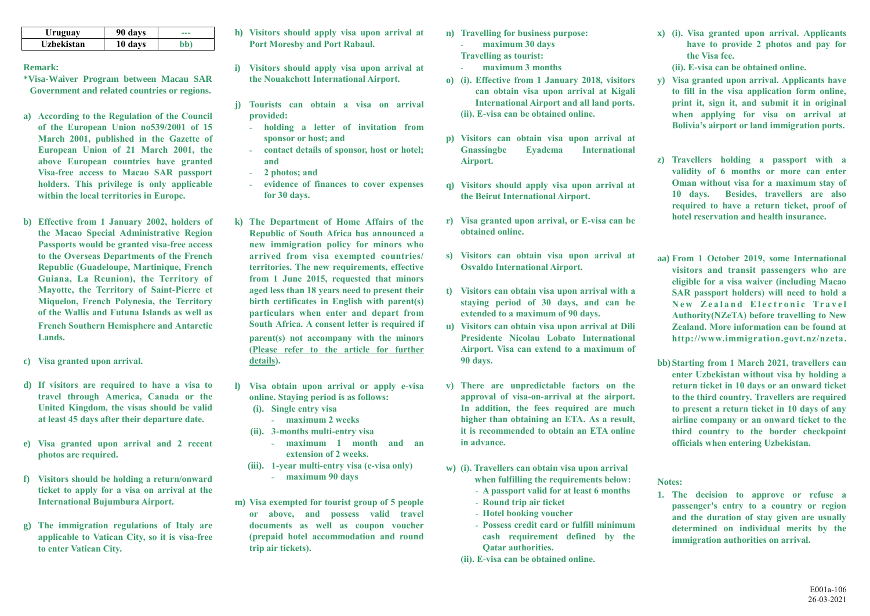| Uruguay    | 90 days | --- |
|------------|---------|-----|
| Uzbekistan | 10 days | əb' |

## **Remark:**

- **\*Visa-Waiver Program between Macau SAR Government and related countries or regions.**
- **a) According to the Regulation of the Council of the European Union no539/2001 of 15 March 2001, published in the Gazette of European Union of 21 March 2001, the above European countries have granted Visa-free access to Macao SAR passport holders. This privilege is only applicable within the local territories in Europe.**
- **b) Effective from 1 January 2002, holders of the Macao Special Administrative Region Passports would be granted visa-free access to the Overseas Departments of the French Republic (Guadeloupe, Martinique, French Guiana, La Reunion), the Territory of Mayotte, the Territory of Saint-Pierre et Miquelon, French Polynesia, the Territory of the Wallis and Futuna Islands as well as French Southern Hemisphere and Antarctic Lands.**
- **c) Visa granted upon arrival.**
- **d) If visitors are required to have a visa to travel through America, Canada or the United Kingdom, the visas should be valid at least 45 days after their departure date.**
- **e) Visa granted upon arrival and 2 recent photos are required.**
- **f) Visitors should be holding a return/onward ticket to apply for a visa on arrival at the International Bujumbura Airport.**
- **g) The immigration regulations of Italy are applicable to Vatican City, so it is visa-free to enter Vatican City.**
- **h) Visitors should apply visa upon arrival at Port Moresby and Port Rabaul.**
- **i) Visitors should apply visa upon arrival at the Nouakchott International Airport.**
- **j) Tourists can obtain a visa on arrival provided:**
	- **holding a letter of invitation from sponsor or host; and**
	- **contact details of sponsor, host or hotel; and**
	- **2 photos; and**
	- **evidence of finances to cover expenses for 30 days.**
- **k) The Department of Home Affairs of the Republic of South Africa has announced a new immigration policy for minors who arrived from visa exempted countries/ territories. The new requirements, effective from 1 June 2015, requested that minors aged less than 18 years need to present their birth certificates in English with parent(s) particulars when enter and depart from South Africa. A consent letter is required if parent(s) not accompany with the minors [\(Please refer to the article for further](http://www.home-affairs.gov.za/index.php/statments-speeches/621-advisory-new-requirements-for-childern-travelling-through-south-african-ports-of-entry-effective-1-june-2015)  [details\)](http://www.home-affairs.gov.za/index.php/statments-speeches/621-advisory-new-requirements-for-childern-travelling-through-south-african-ports-of-entry-effective-1-june-2015).**
- **l) Visa obtain upon arrival or apply e-visa online. Staying period is as follows: (i). Single entry visa**
	- **maximum 2 weeks**
	- **(ii). 3-months multi-entry visa**
		- **maximum 1 month and an extension of 2 weeks.**
	- **(iii). 1-year multi-entry visa (e-visa only)** - **maximum 90 days**
- **m) Visa exempted for tourist group of 5 people or above, and possess valid travel documents as well as coupon voucher (prepaid hotel accommodation and round trip air tickets).**
- **n) Travelling for business purpose:** - **maximum 30 days**
	- **Travelling as tourist:**
	- **maximum 3 months**
- **o) (i). Effective from 1 January 2018, visitors can obtain visa upon arrival at Kigali International Airport and all land ports. (ii). E-visa can be obtained online.**
- **p) Visitors can obtain visa upon arrival at Gnassingbe Eyadema International Airport.**
- **q) Visitors should apply visa upon arrival at the Beirut International Airport.**
- **r) Visa granted upon arrival, or E-visa can be obtained online.**
- **s) Visitors can obtain visa upon arrival at Osvaldo International Airport.**
- **t) Visitors can obtain visa upon arrival with a staying period of 30 days, and can be extended to a maximum of 90 days.**
- **u) Visitors can obtain visa upon arrival at Dili Presidente Nicolau Lobato International Airport. Visa can extend to a maximum of 90 days.**
- **v) There are unpredictable factors on the approval of visa-on-arrival at the airport. In addition, the fees required are much higher than obtaining an ETA. As a result, it is recommended to obtain an ETA online in advance.**
- **w) (i). Travellers can obtain visa upon arrival when fulfilling the requirements below:**
	- **A passport valid for at least 6 months**
	- **Round trip air ticket**
	- **Hotel booking voucher**
	- **Possess credit card or fulfill minimum cash requirement defined by the Qatar authorities.**
	- **(ii). E-visa can be obtained online.**
- **x) (i). Visa granted upon arrival. Applicants have to provide 2 photos and pay for the Visa fee.**
	- **(ii). E-visa can be obtained online.**
- **y) Visa granted upon arrival. Applicants have to fill in the visa application form online, print it, sign it, and submit it in original when applying for visa on arrival at Bolivia's airport or land immigration ports.**
- **z) Travellers holding a passport with a validity of 6 months or more can enter Oman without visa for a maximum stay of 10 days. Besides, travellers are also required to have a return ticket, proof of hotel reservation and health insurance.**
- **aa) From 1 October 2019, some International visitors and transit passengers who are eligible for a visa waiver (including Macao SAR passport holders) will need to hold a New Zealand Electronic Travel Authority(NZeTA) before travelling to New Zealand. More information can be found at http://www.immigration.govt.nz/nzeta.**
- **bb) Starting from 1 March 2021, travellers can enter Uzbekistan without visa by holding a return ticket in 10 days or an onward ticket to the third country. Travellers are required to present a return ticket in 10 days of any airline company or an onward ticket to the third country to the border checkpoint officials when entering Uzbekistan.**

## **Notes:**

**1. The decision to approve or refuse a passenger's entry to a country or region and the duration of stay given are usually determined on individual merits by the immigration authorities on arrival.**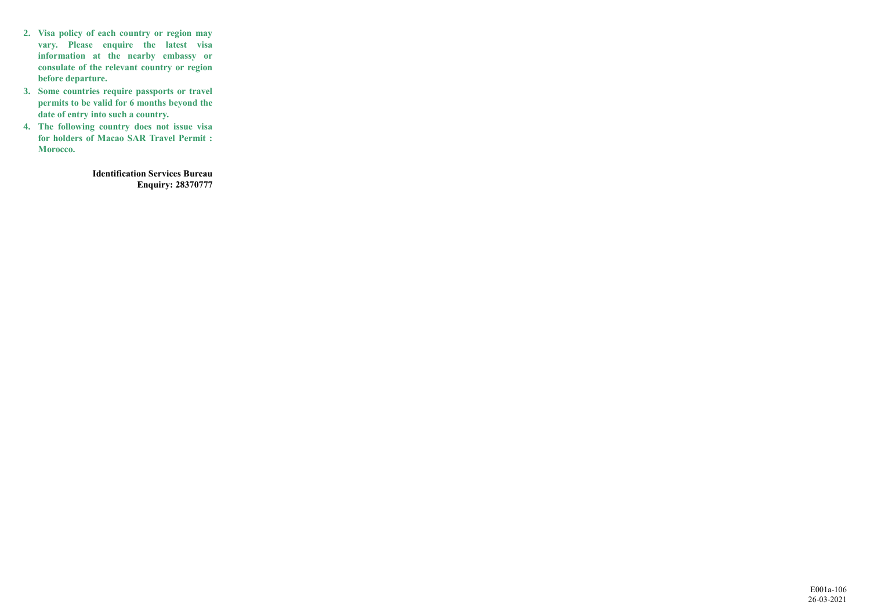- **2. Visa policy of each country or region may vary. Please enquire the latest visa information at the nearby embassy or consulate of the relevant country or region before departure.**
- **3. Some countries require passports or travel permits to be valid for 6 months beyond the date of entry into such a country.**
- **4. The following country does not issue visa for holders of Macao SAR Travel Permit : Morocco.**

**Identification Services Bureau Enquiry: 28370777**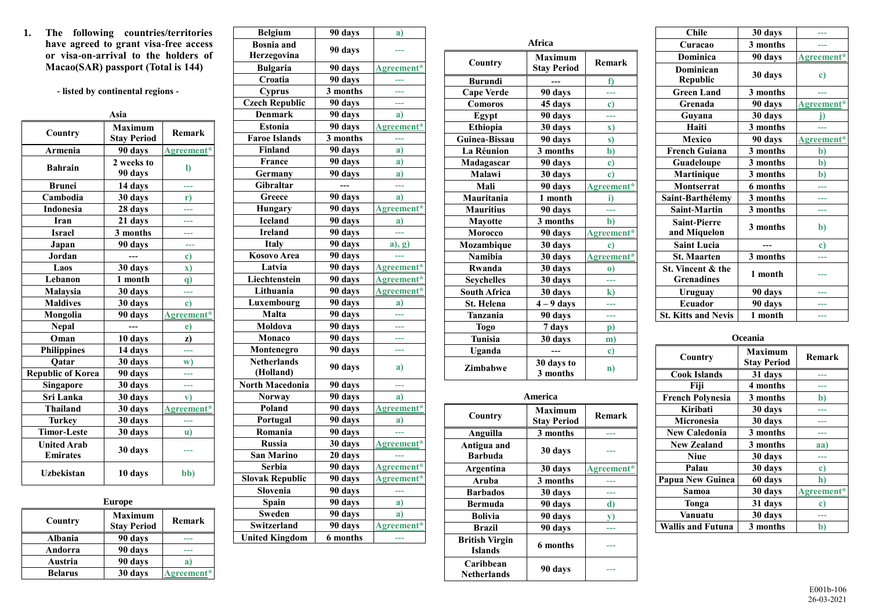**1. The following countries/territories have agreed to grant visa-free access or visa-on-arrival to the holders of Macao(SAR) passport (Total is 144)**

**- listed by continental regions -**

|                                       | Asia                                 |               |
|---------------------------------------|--------------------------------------|---------------|
| Country                               | <b>Maximum</b><br><b>Stay Period</b> | <b>Remark</b> |
| Armenia                               | 90 days                              | Agreement*    |
| <b>Bahrain</b>                        | 2 weeks to<br>90 days                | I)            |
| <b>Brunei</b>                         | 14 days                              | ---           |
| $\overline{\text{Cambodia}}$          | $30$ days                            | $\mathbf{r}$  |
| Indonesia                             | 28 days                              |               |
| <b>Iran</b>                           | 21 days                              |               |
| <b>Israel</b>                         | 3 months                             |               |
| Japan                                 | 90 days                              | ---           |
| <b>Jordan</b>                         |                                      | c)            |
| Laos                                  | 30 days                              | $\mathbf{x})$ |
| Lebanon                               | 1 month                              | $\mathbf{q}$  |
| Malaysia                              | 30 days                              |               |
| <b>Maldives</b>                       | 30 days                              | $\mathbf{c}$  |
| Mongolia                              | 90 days                              | Agreement*    |
| <b>Nepal</b>                          |                                      | e)            |
| Oman                                  | 10 days                              | z)            |
| <b>Philippines</b>                    | 14 days                              | ---           |
| Qatar                                 | 30 days                              | w)            |
| <b>Republic of Korea</b>              | 90 days                              |               |
| Singapore                             | 30 days                              | ---           |
| Sri Lanka                             | 30 days                              | $\mathbf{v}$  |
| <b>Thailand</b>                       | 30 days                              | Agreement*    |
| Turkey                                | 30 days                              | ---           |
| <b>Timor-Leste</b>                    | 30 days                              | u)            |
| <b>United Arab</b><br><b>Emirates</b> | 30 days                              |               |
| <b>Uzbekistan</b>                     | 10 days                              | bb)           |

| <b>Europe</b>  |                                      |            |
|----------------|--------------------------------------|------------|
| Country        | <b>Maximum</b><br><b>Stay Period</b> | Remark     |
| Albania        | 90 days                              |            |
| Andorra        | 90 days                              |            |
| Austria        | 90 days                              |            |
| <b>Belarus</b> | 30 days                              | Agreement* |

| <b>Bosnia</b> and<br>90 days<br>Herzegovina<br>_<br>Bulgaria<br>90 days<br>Agreement*<br>Croatia<br>90 days<br>3 months<br><b>Cyprus</b><br><b>Czech Republic</b><br>90 days<br>---<br><b>Denmark</b><br>90 days<br>a)<br>90 days<br><b>Estonia</b><br>Agreement*<br>3 months<br><b>Faroe Islands</b><br>444<br><b>Finland</b><br>90 days<br>a)<br>France<br>90 days<br>a)<br>90 days<br>Germany<br>a)<br><b>Gibraltar</b><br>---<br>Greece<br>90 days<br>a)<br>Agreement*<br>90 days<br><b>Hungary</b><br><b>Iceland</b><br>90 days<br>a)<br><b>Ireland</b><br>90 days<br>444<br>90 days<br>Italy<br>$a)$ , g)<br>Kosovo Area<br>90 days<br>---<br>Latvia<br>90 days<br>Agreement*<br>90 days<br>Agreement*<br>Liechtenstein<br>Lithuania<br>90 days<br>Agreement*<br>90 days<br>Luxembourg<br>a)<br>90 days<br>Malta<br><br>Moldova<br>90 days<br>Monaco<br>90 days<br>---<br>90 days<br>Montenegro<br>---<br><b>Netherlands</b><br>90 days<br>a)<br>(Holland)<br><b>North Macedonia</b><br>90 days<br><br>90 days<br><b>Norway</b><br>a)<br>90 days<br>Poland<br>Agreement*<br>90 days<br>Portugal<br>a)<br>Romania<br>90 days<br><b>Russia</b><br>30 days<br>Agreement*<br><b>San Marino</b><br>20 days<br>$\sim$ $\sim$ | a)         |
|------------------------------------------------------------------------------------------------------------------------------------------------------------------------------------------------------------------------------------------------------------------------------------------------------------------------------------------------------------------------------------------------------------------------------------------------------------------------------------------------------------------------------------------------------------------------------------------------------------------------------------------------------------------------------------------------------------------------------------------------------------------------------------------------------------------------------------------------------------------------------------------------------------------------------------------------------------------------------------------------------------------------------------------------------------------------------------------------------------------------------------------------------------------------------------------------------------------------------|------------|
|                                                                                                                                                                                                                                                                                                                                                                                                                                                                                                                                                                                                                                                                                                                                                                                                                                                                                                                                                                                                                                                                                                                                                                                                                              |            |
|                                                                                                                                                                                                                                                                                                                                                                                                                                                                                                                                                                                                                                                                                                                                                                                                                                                                                                                                                                                                                                                                                                                                                                                                                              |            |
|                                                                                                                                                                                                                                                                                                                                                                                                                                                                                                                                                                                                                                                                                                                                                                                                                                                                                                                                                                                                                                                                                                                                                                                                                              |            |
|                                                                                                                                                                                                                                                                                                                                                                                                                                                                                                                                                                                                                                                                                                                                                                                                                                                                                                                                                                                                                                                                                                                                                                                                                              |            |
|                                                                                                                                                                                                                                                                                                                                                                                                                                                                                                                                                                                                                                                                                                                                                                                                                                                                                                                                                                                                                                                                                                                                                                                                                              |            |
|                                                                                                                                                                                                                                                                                                                                                                                                                                                                                                                                                                                                                                                                                                                                                                                                                                                                                                                                                                                                                                                                                                                                                                                                                              |            |
|                                                                                                                                                                                                                                                                                                                                                                                                                                                                                                                                                                                                                                                                                                                                                                                                                                                                                                                                                                                                                                                                                                                                                                                                                              |            |
|                                                                                                                                                                                                                                                                                                                                                                                                                                                                                                                                                                                                                                                                                                                                                                                                                                                                                                                                                                                                                                                                                                                                                                                                                              |            |
|                                                                                                                                                                                                                                                                                                                                                                                                                                                                                                                                                                                                                                                                                                                                                                                                                                                                                                                                                                                                                                                                                                                                                                                                                              |            |
|                                                                                                                                                                                                                                                                                                                                                                                                                                                                                                                                                                                                                                                                                                                                                                                                                                                                                                                                                                                                                                                                                                                                                                                                                              |            |
|                                                                                                                                                                                                                                                                                                                                                                                                                                                                                                                                                                                                                                                                                                                                                                                                                                                                                                                                                                                                                                                                                                                                                                                                                              |            |
|                                                                                                                                                                                                                                                                                                                                                                                                                                                                                                                                                                                                                                                                                                                                                                                                                                                                                                                                                                                                                                                                                                                                                                                                                              |            |
|                                                                                                                                                                                                                                                                                                                                                                                                                                                                                                                                                                                                                                                                                                                                                                                                                                                                                                                                                                                                                                                                                                                                                                                                                              |            |
|                                                                                                                                                                                                                                                                                                                                                                                                                                                                                                                                                                                                                                                                                                                                                                                                                                                                                                                                                                                                                                                                                                                                                                                                                              |            |
|                                                                                                                                                                                                                                                                                                                                                                                                                                                                                                                                                                                                                                                                                                                                                                                                                                                                                                                                                                                                                                                                                                                                                                                                                              |            |
|                                                                                                                                                                                                                                                                                                                                                                                                                                                                                                                                                                                                                                                                                                                                                                                                                                                                                                                                                                                                                                                                                                                                                                                                                              |            |
|                                                                                                                                                                                                                                                                                                                                                                                                                                                                                                                                                                                                                                                                                                                                                                                                                                                                                                                                                                                                                                                                                                                                                                                                                              |            |
|                                                                                                                                                                                                                                                                                                                                                                                                                                                                                                                                                                                                                                                                                                                                                                                                                                                                                                                                                                                                                                                                                                                                                                                                                              |            |
|                                                                                                                                                                                                                                                                                                                                                                                                                                                                                                                                                                                                                                                                                                                                                                                                                                                                                                                                                                                                                                                                                                                                                                                                                              |            |
|                                                                                                                                                                                                                                                                                                                                                                                                                                                                                                                                                                                                                                                                                                                                                                                                                                                                                                                                                                                                                                                                                                                                                                                                                              |            |
|                                                                                                                                                                                                                                                                                                                                                                                                                                                                                                                                                                                                                                                                                                                                                                                                                                                                                                                                                                                                                                                                                                                                                                                                                              |            |
|                                                                                                                                                                                                                                                                                                                                                                                                                                                                                                                                                                                                                                                                                                                                                                                                                                                                                                                                                                                                                                                                                                                                                                                                                              |            |
|                                                                                                                                                                                                                                                                                                                                                                                                                                                                                                                                                                                                                                                                                                                                                                                                                                                                                                                                                                                                                                                                                                                                                                                                                              |            |
|                                                                                                                                                                                                                                                                                                                                                                                                                                                                                                                                                                                                                                                                                                                                                                                                                                                                                                                                                                                                                                                                                                                                                                                                                              |            |
|                                                                                                                                                                                                                                                                                                                                                                                                                                                                                                                                                                                                                                                                                                                                                                                                                                                                                                                                                                                                                                                                                                                                                                                                                              |            |
|                                                                                                                                                                                                                                                                                                                                                                                                                                                                                                                                                                                                                                                                                                                                                                                                                                                                                                                                                                                                                                                                                                                                                                                                                              |            |
|                                                                                                                                                                                                                                                                                                                                                                                                                                                                                                                                                                                                                                                                                                                                                                                                                                                                                                                                                                                                                                                                                                                                                                                                                              |            |
|                                                                                                                                                                                                                                                                                                                                                                                                                                                                                                                                                                                                                                                                                                                                                                                                                                                                                                                                                                                                                                                                                                                                                                                                                              |            |
|                                                                                                                                                                                                                                                                                                                                                                                                                                                                                                                                                                                                                                                                                                                                                                                                                                                                                                                                                                                                                                                                                                                                                                                                                              |            |
|                                                                                                                                                                                                                                                                                                                                                                                                                                                                                                                                                                                                                                                                                                                                                                                                                                                                                                                                                                                                                                                                                                                                                                                                                              |            |
|                                                                                                                                                                                                                                                                                                                                                                                                                                                                                                                                                                                                                                                                                                                                                                                                                                                                                                                                                                                                                                                                                                                                                                                                                              |            |
|                                                                                                                                                                                                                                                                                                                                                                                                                                                                                                                                                                                                                                                                                                                                                                                                                                                                                                                                                                                                                                                                                                                                                                                                                              |            |
|                                                                                                                                                                                                                                                                                                                                                                                                                                                                                                                                                                                                                                                                                                                                                                                                                                                                                                                                                                                                                                                                                                                                                                                                                              |            |
|                                                                                                                                                                                                                                                                                                                                                                                                                                                                                                                                                                                                                                                                                                                                                                                                                                                                                                                                                                                                                                                                                                                                                                                                                              |            |
|                                                                                                                                                                                                                                                                                                                                                                                                                                                                                                                                                                                                                                                                                                                                                                                                                                                                                                                                                                                                                                                                                                                                                                                                                              |            |
| 90 days<br><b>Serbia</b>                                                                                                                                                                                                                                                                                                                                                                                                                                                                                                                                                                                                                                                                                                                                                                                                                                                                                                                                                                                                                                                                                                                                                                                                     | Agreement* |
| <b>Slovak Republic</b><br>90 days<br>Agreement*                                                                                                                                                                                                                                                                                                                                                                                                                                                                                                                                                                                                                                                                                                                                                                                                                                                                                                                                                                                                                                                                                                                                                                              |            |
| Slovenia<br>90 days                                                                                                                                                                                                                                                                                                                                                                                                                                                                                                                                                                                                                                                                                                                                                                                                                                                                                                                                                                                                                                                                                                                                                                                                          |            |
| Spain<br>90 days<br>a)                                                                                                                                                                                                                                                                                                                                                                                                                                                                                                                                                                                                                                                                                                                                                                                                                                                                                                                                                                                                                                                                                                                                                                                                       |            |
| <b>Sweden</b><br>90 days<br>a)                                                                                                                                                                                                                                                                                                                                                                                                                                                                                                                                                                                                                                                                                                                                                                                                                                                                                                                                                                                                                                                                                                                                                                                               |            |
| 90 days<br>Switzerland<br>Agreement*                                                                                                                                                                                                                                                                                                                                                                                                                                                                                                                                                                                                                                                                                                                                                                                                                                                                                                                                                                                                                                                                                                                                                                                         |            |
| <b>United Kingdom</b><br>6 months                                                                                                                                                                                                                                                                                                                                                                                                                                                                                                                                                                                                                                                                                                                                                                                                                                                                                                                                                                                                                                                                                                                                                                                            |            |

|                               | Africa                               |               |  |
|-------------------------------|--------------------------------------|---------------|--|
| Country                       | Maximum                              | Remark        |  |
|                               | <b>Stav Period</b>                   |               |  |
| <b>Burundi</b>                |                                      | f)            |  |
| <b>Cape Verde</b>             | 90 days                              |               |  |
| Comoros                       | 45 days                              | $\mathbf{c})$ |  |
| Egypt                         | 90 days                              |               |  |
| <b>Ethiopia</b>               | 30 days                              | $\mathbf{x})$ |  |
| Guinea-Bissau                 | 90 days                              | s)            |  |
| La Réunion                    | 3 months                             | b)            |  |
| Madagascar                    | 90 days                              | $\mathbf{c})$ |  |
| Malawi                        | 30 days                              | $\mathbf{c})$ |  |
| Mali                          | 90 days                              | Agreement*    |  |
| Mauritania                    | 1 month                              | i)            |  |
| <b>Mauritius</b>              | 90 days                              |               |  |
| <b>Mayotte</b>                | 3 months                             | $b$           |  |
| Morocco                       | 90 days                              | Agreement*    |  |
| Mozambique                    | 30 days                              | $\mathbf{c})$ |  |
| Namibia                       | $30$ days                            | Agreement*    |  |
| Rwanda                        | 30 days                              | $\bf{o}$      |  |
| <b>Seychelles</b>             | 30 days                              | ---           |  |
| <b>South Africa</b>           | $30$ days                            | k)            |  |
| St. Helena                    | $\overline{4} - 9$ days              | ---           |  |
| <b>Tanzania</b>               | 90 days                              | ---           |  |
| <b>Togo</b>                   | 7 days                               | p)            |  |
| <b>Tunisia</b>                | 30 days                              | m)            |  |
| Uganda                        |                                      | $\mathbf{c})$ |  |
| Zimbabwe                      | 30 days to<br>3 months               | n)            |  |
| <b>America</b>                |                                      |               |  |
| Country                       | <b>Maximum</b><br><b>Stay Period</b> | Remark        |  |
| Anguilla                      | 3 months                             |               |  |
| Antigua and<br><b>Barbuda</b> | 30 days                              | ---           |  |

**Argentina 30 days [Agreement\\*](https://images.io.gov.mo/bo/ii/2019/44/avce-36-2019.pdf) Aruba 3 months ---**<br>**Barbados 30 days** ---**Barbados 30 days --- Bermuda 90 days d**)<br>**Bolivia 90 days v**) **Bolivia 90 days y**)<br>**Brazil 90 days** ---

**Netherlands 90 days ---**

**British Virgin** 

**Caribbean** 

**Brazil 90 days ---**

**Islands 6 months ---**

| 30 days  | ---        |
|----------|------------|
| 3 months |            |
| 90 days  | Agreement* |
| 30 days  | c)         |
| 3 months |            |
| 90 days  | Agreement* |
| 30 days  | i)         |
| 3 months |            |
| 90 days  | Agreement* |
| 3 months | b)         |
| 3 months | b)         |
| 3 months | b)         |
| 6 months |            |
| 3 months |            |
| 3 months | a a s      |
| 3 months | b)         |
|          | c)         |
| 3 months |            |
| 1 month  |            |
| 90 days  |            |
| 90 days  |            |
| 1 month  | ---        |
|          |            |

| Oceania                  |                               |            |
|--------------------------|-------------------------------|------------|
| Country                  | Maximum<br><b>Stay Period</b> | Remark     |
| <b>Cook Islands</b>      | 31 days                       |            |
| Fiji                     | 4 months                      |            |
| <b>French Polynesia</b>  | 3 months                      | b)         |
| Kiribati                 | 30 days                       |            |
| <b>Micronesia</b>        | 30 days                       |            |
| <b>New Caledonia</b>     | 3 months                      |            |
| <b>New Zealand</b>       | 3 months                      | aa)        |
| <b>Niue</b>              | 30 days                       |            |
| Palau                    | 30 days                       | c)         |
| <b>Papua New Guinea</b>  | 60 days                       | h)         |
| Samoa                    | 30 days                       | Agreement* |
| Tonga                    | 31 days                       | c)         |
| Vanuatu                  | 30 days                       |            |
| <b>Wallis and Futuna</b> | 3 months                      | b)         |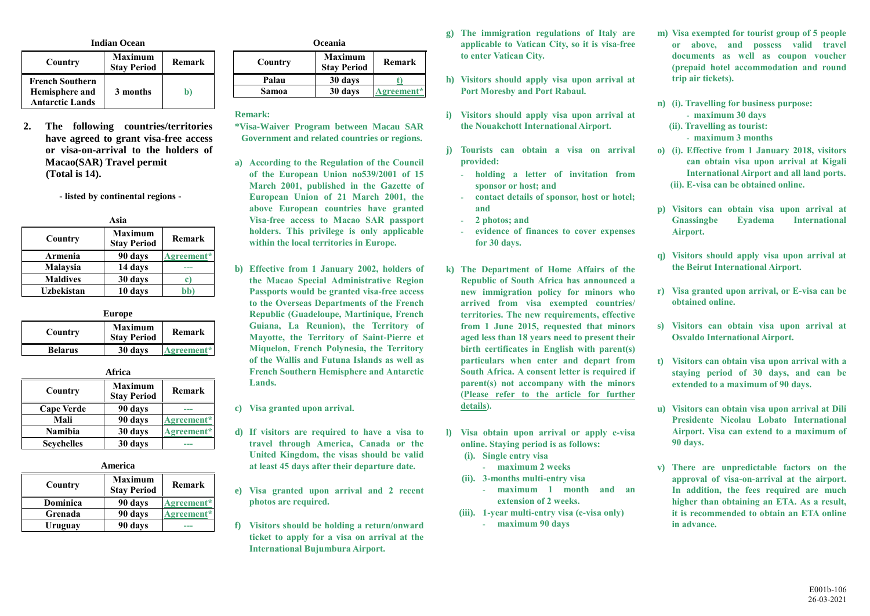| <b>Indian Ocean</b>                                                |                                      |        |
|--------------------------------------------------------------------|--------------------------------------|--------|
| Country                                                            | <b>Maximum</b><br><b>Stay Period</b> | Remark |
| <b>French Southern</b><br>Hemisphere and<br><b>Antarctic Lands</b> | 3 months                             |        |

**2. The following countries/territories have agreed to grant visa-free access or visa-on-arrival to the holders of Macao(SAR) Travel permit (Total is 14).**

**- listed by continental regions -**

| Asia            |                               |            |
|-----------------|-------------------------------|------------|
| Country         | Maximum<br><b>Stay Period</b> | Remark     |
| Armenia         | 90 days                       | Agreement* |
| Malaysia        | 14 days                       |            |
| <b>Maldives</b> | 30 days                       | c)         |
| Uzbekistan      | 10 days                       | bb`        |

| Europe         |                                      |            |
|----------------|--------------------------------------|------------|
| Country        | <b>Maximum</b><br><b>Stav Period</b> | Remark     |
| <b>Belarus</b> | 30 days                              | Agreement* |

**Africa**

| Анса              |                                      |            |
|-------------------|--------------------------------------|------------|
| Country           | <b>Maximum</b><br><b>Stay Period</b> | Remark     |
| <b>Cape Verde</b> | 90 days                              |            |
| Mali              | 90 days                              | Agreement* |
| Namibia           | 30 days                              | Agreement* |
| <b>Seychelles</b> | 30 days                              |            |

| America |  |
|---------|--|
|         |  |

| Country  | <b>Maximum</b><br><b>Stay Period</b> | Remark     |
|----------|--------------------------------------|------------|
| Dominica | 90 days                              | Agreement* |
| Grenada  | 90 days                              | Agreement* |
| Uruguay  | 90 days                              |            |

| <b>Oceania</b> |                                      |            |
|----------------|--------------------------------------|------------|
| Country        | <b>Maximum</b><br><b>Stay Period</b> | Remark     |
| Palau          | 30 days                              |            |
| Samoa          | 30 days                              | Agreement* |

**Remark:**

**\*Visa-Waiver Program between Macau SAR Government and related countries or regions.**

- **a) According to the Regulation of the Council of the European Union no539/2001 of 15 March 2001, published in the Gazette of European Union of 21 March 2001, the above European countries have granted Visa-free access to Macao SAR passport holders. This privilege is only applicable within the local territories in Europe.**
- **b) Effective from 1 January 2002, holders of the Macao Special Administrative Region Passports would be granted visa-free access to the Overseas Departments of the French Republic (Guadeloupe, Martinique, French Guiana, La Reunion), the Territory of Mayotte, the Territory of Saint-Pierre et Miquelon, French Polynesia, the Territory of the Wallis and Futuna Islands as well as French Southern Hemisphere and Antarctic Lands.**

**c) Visa granted upon arrival.**

- **d) If visitors are required to have a visa to travel through America, Canada or the United Kingdom, the visas should be valid at least 45 days after their departure date.**
- **e) Visa granted upon arrival and 2 recent photos are required.**
- **f) Visitors should be holding a return/onward ticket to apply for a visa on arrival at the International Bujumbura Airport.**
- **g) The immigration regulations of Italy are applicable to Vatican City, so it is visa-free to enter Vatican City.**
- **h) Visitors should apply visa upon arrival at Port Moresby and Port Rabaul.**
- **i) Visitors should apply visa upon arrival at the Nouakchott International Airport.**
- **j) Tourists can obtain a visa on arrival provided:**
	- **holding a letter of invitation from sponsor or host; and**
	- **contact details of sponsor, host or hotel; and**
	- **2 photos; and**
	- **evidence of finances to cover expenses for 30 days.**
- **k) The Department of Home Affairs of the Republic of South Africa has announced a new immigration policy for minors who arrived from visa exempted countries/ territories. The new requirements, effective from 1 June 2015, requested that minors aged less than 18 years need to present their birth certificates in English with parent(s) particulars when enter and depart from South Africa. A consent letter is required if parent(s) not accompany with the minors [\(Please refer to the article for further](http://www.home-affairs.gov.za/index.php/statments-speeches/621-advisory-new-requirements-for-childern-travelling-through-south-african-ports-of-entry-effective-1-june-2015)  [details\)](http://www.home-affairs.gov.za/index.php/statments-speeches/621-advisory-new-requirements-for-childern-travelling-through-south-african-ports-of-entry-effective-1-june-2015).**
- **l) Visa obtain upon arrival or apply e-visa online. Staying period is as follows:**
	- **(i). Single entry visa**
	- **maximum 2 weeks (ii). 3-months multi-entry visa**
		- **maximum 1 month and an extension of 2 weeks.**
	- **(iii). 1-year multi-entry visa (e-visa only)** - **maximum 90 days**
- **m) Visa exempted for tourist group of 5 people or above, and possess valid travel documents as well as coupon voucher (prepaid hotel accommodation and round trip air tickets).**
- **n) (i). Travelling for business purpose:** - **maximum 30 days**
	- **(ii). Travelling as tourist:** - **maximum 3 months**
- **o) (i). Effective from 1 January 2018, visitors can obtain visa upon arrival at Kigali International Airport and all land ports. (ii). E-visa can be obtained online.**
- **p) Visitors can obtain visa upon arrival at Gnassingbe Eyadema International Airport.**
- **q) Visitors should apply visa upon arrival at the Beirut International Airport.**
- **r) Visa granted upon arrival, or E-visa can be obtained online.**
- **s) Visitors can obtain visa upon arrival at Osvaldo International Airport.**
- **t) Visitors can obtain visa upon arrival with a staying period of 30 days, and can be extended to a maximum of 90 days.**
- **u) Visitors can obtain visa upon arrival at Dili Presidente Nicolau Lobato International Airport. Visa can extend to a maximum of 90 days.**
- **v) There are unpredictable factors on the approval of visa-on-arrival at the airport. In addition, the fees required are much higher than obtaining an ETA. As a result, it is recommended to obtain an ETA online in advance.**